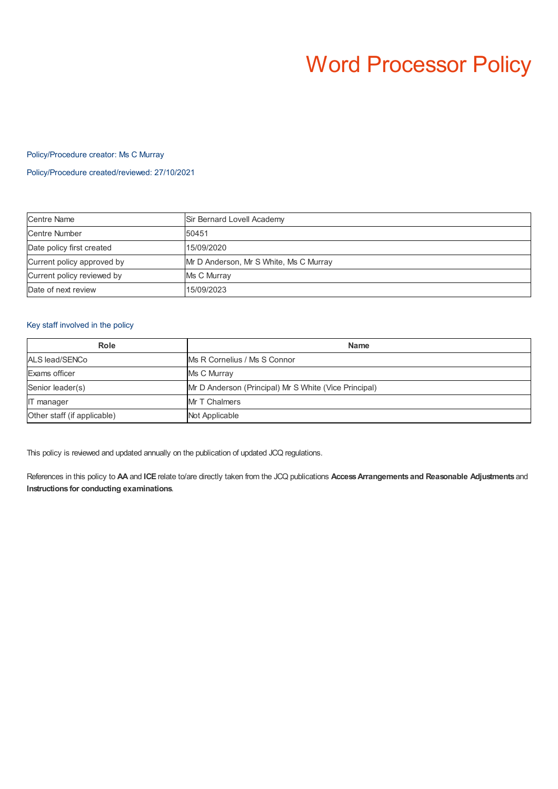# Word Processor Policy

#### Policy/Procedure creator: Ms C Murray

#### Policy/Procedure created/reviewed: 27/10/2021

| <b>Centre Name</b>         | Sir Bernard Lovell Academy             |
|----------------------------|----------------------------------------|
| Centre Number              | 50451                                  |
| Date policy first created  | 15/09/2020                             |
| Current policy approved by | Mr D Anderson, Mr S White, Ms C Murray |
| Current policy reviewed by | Ms C Murray                            |
| Date of next review        | 15/09/2023                             |

#### Key staff involved in the policy

| Role                        | <b>Name</b>                                           |
|-----------------------------|-------------------------------------------------------|
| ALS lead/SENCo              | Ms R Cornelius / Ms S Connor                          |
| Exams officer               | Ms C Murray                                           |
| Senior leader(s)            | Mr D Anderson (Principal) Mr S White (Vice Principal) |
| <b>IT</b> manager           | <b>Mr T Chalmers</b>                                  |
| Other staff (if applicable) | Not Applicable                                        |

This policy is reviewed and updated annually on the publication of updated JCQ regulations.

References in this policy to **AA** and **ICE** relate to/are directly taken from the JCQ publications **AccessArrangements and Reasonable Adjustments** and **Instructions for conducting examinations**.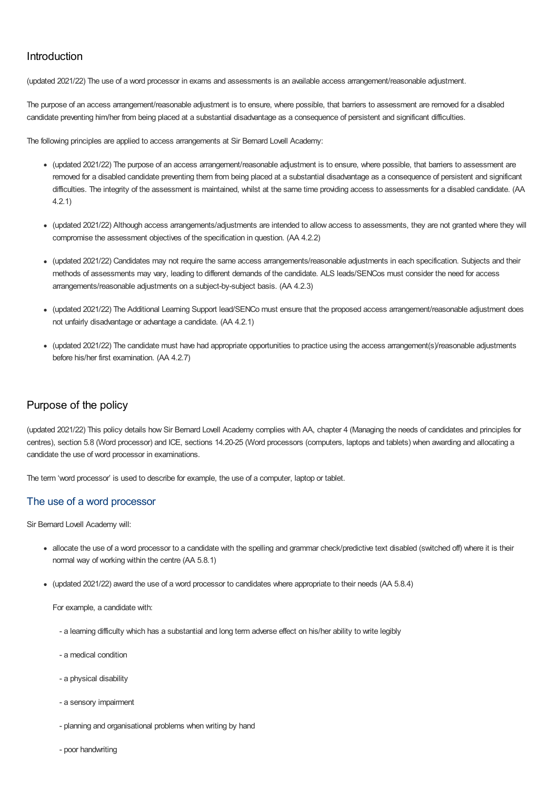# Introduction

(updated 2021/22) The use of a word processor in exams and assessments is an available access arrangement/reasonable adjustment.

The purpose of an access arrangement/reasonable adjustment is to ensure, where possible, that barriers to assessment are removed for a disabled candidate preventing him/her from being placed at a substantial disadvantage as a consequence of persistent and significant difficulties.

The following principles are applied to access arrangements at Sir Bernard Lovell Academy:

- (updated 2021/22) The purpose of an access arrangement/reasonable adjustment is to ensure, where possible, that barriers to assessment are removed for a disabled candidate preventing them from being placed at a substantial disadvantage as a consequence of persistent and significant difficulties. The integrity of the assessment is maintained, whilst at the same time providing access to assessments for a disabled candidate. (AA 4.2.1)
- (updated 2021/22) Although access arrangements/adjustments are intended to allow access to assessments, they are not granted where they will compromise the assessment objectives of the specification in question. (AA 4.2.2)
- (updated 2021/22) Candidates may not require the same access arrangements/reasonable adjustments in each specification. Subjects and their methods of assessments may vary, leading to different demands of the candidate. ALS leads/SENCos must consider the need for access arrangements/reasonable adjustments on a subject-by-subject basis. (AA 4.2.3)
- (updated 2021/22) The Additional Learning Support lead/SENCo must ensure that the proposed access arrangement/reasonable adjustment does not unfairly disadvantage or advantage a candidate. (AA 4.2.1)
- (updated 2021/22) The candidate must have had appropriate opportunities to practice using the access arrangement(s)/reasonable adjustments before his/her first examination. (AA 4.2.7)

# Purpose of the policy

(updated 2021/22) This policy details how Sir Bernard Lovell Academy complies with AA, chapter 4 (Managing the needs of candidates and principles for centres), section 5.8 (Word processor) and ICE, sections 14.20-25 (Word processors (computers, laptops and tablets) when awarding and allocating a candidate the use of word processor in examinations.

The term 'word processor' is used to describe for example, the use of a computer, laptop or tablet.

## The use of a word processor

Sir Bernard Lovell Academy will:

- allocate the use of a word processor to a candidate with the spelling and grammar check/predictive text disabled (switched off) where it is their normal way of working within the centre (AA 5.8.1)
- (updated 2021/22) award the use of a word processor to candidates where appropriate to their needs (AA 5.8.4)

For example, a candidate with:

- a learning difficulty which has a substantial and long term adverse effect on his/her ability to write legibly
- a medical condition
- a physical disability
- a sensory impairment
- planning and organisational problems when writing by hand
- poor handwriting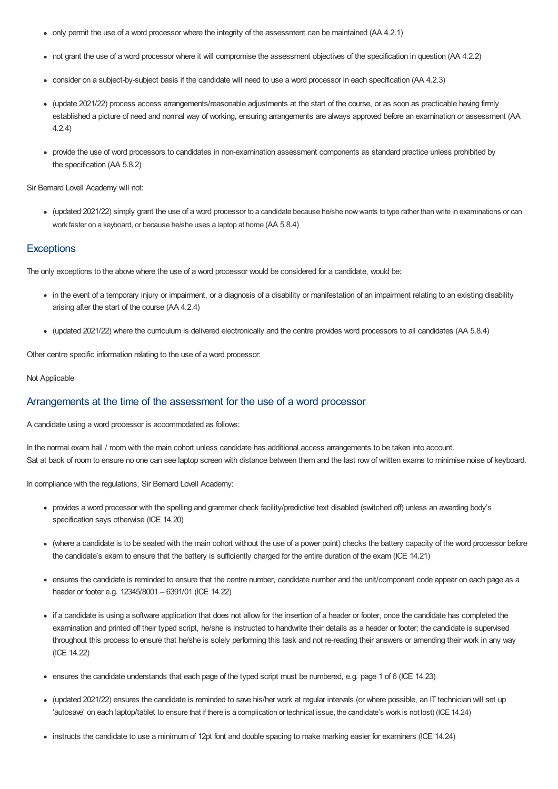- only permit the use of a word processor where the integrity of the assessment can be maintained (AA 4.2.1)
- not grant the use of a word processor where it will compromise the assessment objectives of the specification in question (AA 4.2.2)
- consider on a subject-by-subject basis if the candidate will need to use a word processor in each specification (AA 4.2.3)
- (update 2021/22) process access arrangements/reasonable adjustments at the start of the course, or as soon as practicable having firmly established a picture of need and normal way of working, ensuring arrangements are always approved before an examination or assessment (AA 4.2.4)
- provide the use of word processors to candidates in non-examination assessment components as standard practice unless prohibited by the specification (AA 5.8.2)

Sir Bernard Lovell Academy will not:

• (updated 2021/22) simply grant the use of a word processor to a candidate because he/she now wants to type rather than write in examinations or can work faster on a keyboard, or because he/she uses a laptop at home (AA 5.8.4)

#### **Exceptions**

The only exceptions to the above where the use of a word processor would be considered for a candidate, would be:

- in the event of a temporary injury or impairment, or a diagnosis of a disability or manifestation of an impairment relating to an existing disability arising after the start of the course (AA 4.2.4)
- (updated 2021/22) where the curriculum is delivered electronically and the centre provides word processors to all candidates (AA 5.8.4)

Other centre specific information relating to the use of a word processor:

#### Not Applicable

#### Arrangements at the time of the assessment for the use of a word processor

A candidate using a word processor is accommodated as follows:

In the normal exam hall / room with the main cohort unless candidate has additional access arrangements to be taken into account. Sat at back of room to ensure no one can see laptop screen with distance between them and the last row of written exams to minimise noise of keyboard.

In compliance with the regulations, Sir Bernard Lovell Academy:

- provides a word processor with the spelling and grammar check facility/predictive text disabled (switched off) unless an awarding body's specification says otherwise (ICE 14.20)
- (where a candidate is to be seated with the main cohort without the use of a power point) checks the battery capacity of the word processor before the candidate's exam to ensure that the battery is sufficiently charged for the entire duration of the exam (ICE 14.21)
- ensures the candidate is reminded to ensure that the centre number, candidate number and the unit/component code appear on each page as a header or footer e.g. 12345/8001 – 6391/01 (ICE 14.22)
- if a candidate is using a software application that does not allow for the insertion of a header or footer, once the candidate has completed the examination and printed off their typed script, he/she is instructed to handwrite their details as a header or footer; the candidate is supervised throughout this process to ensure that he/she is solely performing this task and not re-reading their answers or amending their work in any way (ICE 14.22)
- ensures the candidate understands that each page of the typed script must be numbered, e.g. page 1 of 6 (ICE 14.23)
- (updated 2021/22) ensures the candidate is reminded to save his/her work at regular intervals (or where possible, an IT technician will set up 'autosave' on each laptop/tablet to ensure that if there is a complication or technical issue, the candidate's work is not lost) (ICE14.24)
- instructs the candidate to use a minimum of 12pt font and double spacing to make marking easier for examiners (ICE 14.24)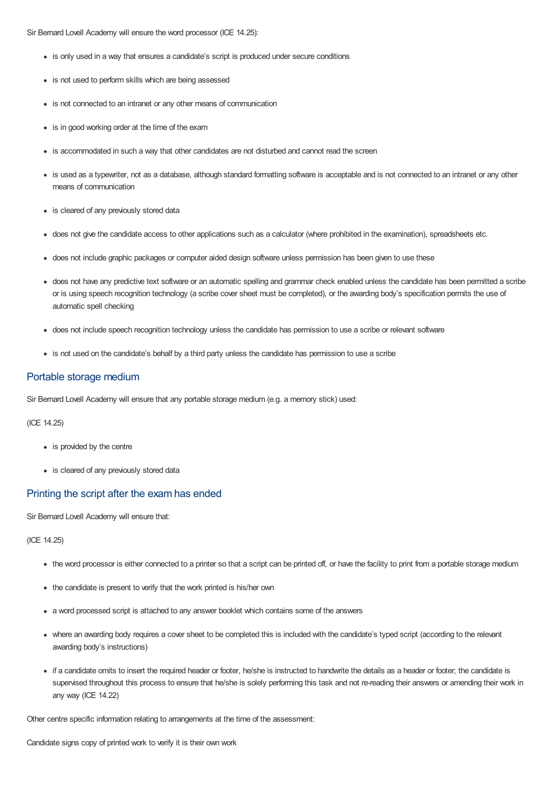Sir Bernard Lovell Academy will ensure the word processor (ICE 14.25):

- is only used in a way that ensures a candidate's script is produced under secure conditions
- is not used to perform skills which are being assessed
- is not connected to an intranet or any other means of communication
- is in good working order at the time of the exam
- is accommodated in such a way that other candidates are not disturbed and cannot read the screen
- is used as a typewriter, not as a database, although standard formatting software is acceptable and is not connected to an intranet or any other means of communication
- is cleared of any previously stored data
- does not give the candidate access to other applications such as a calculator (where prohibited in the examination), spreadsheets etc.
- does not include graphic packages or computer aided design software unless permission has been given to use these
- does not have any predictive text software or an automatic spelling and grammar check enabled unless the candidate has been permitted a scribe or is using speech recognition technology (a scribe cover sheet must be completed), or the awarding body's specification permits the use of automatic spell checking
- does not include speech recognition technology unless the candidate has permission to use a scribe or relevant software
- is not used on the candidate's behalf by a third party unless the candidate has permission to use a scribe

#### Portable storage medium

Sir Bernard Lovell Academy will ensure that any portable storage medium (e.g. a memory stick) used:

(ICE 14.25)

- is provided by the centre
- is cleared of any previously stored data

#### Printing the script after the exam has ended

Sir Bernard Lovell Academy will ensure that:

(ICE 14.25)

- the word processor is either connected to a printer so that a script can be printed off, or have the facility to print from a portable storage medium
- the candidate is present to verify that the work printed is his/her own
- a word processed script is attached to any answer booklet which contains some of the answers
- where an awarding body requires a cover sheet to be completed this is included with the candidate's typed script (according to the relevant awarding body's instructions)
- if a candidate omits to insert the required header or footer, he/she is instructed to handwrite the details as a header or footer; the candidate is supervised throughout this process to ensure that he/she is solely performing this task and not re-reading their answers or amending their work in any way (ICE 14.22)

Other centre specific information relating to arrangements at the time of the assessment:

Candidate signs copy of printed work to verify it is their own work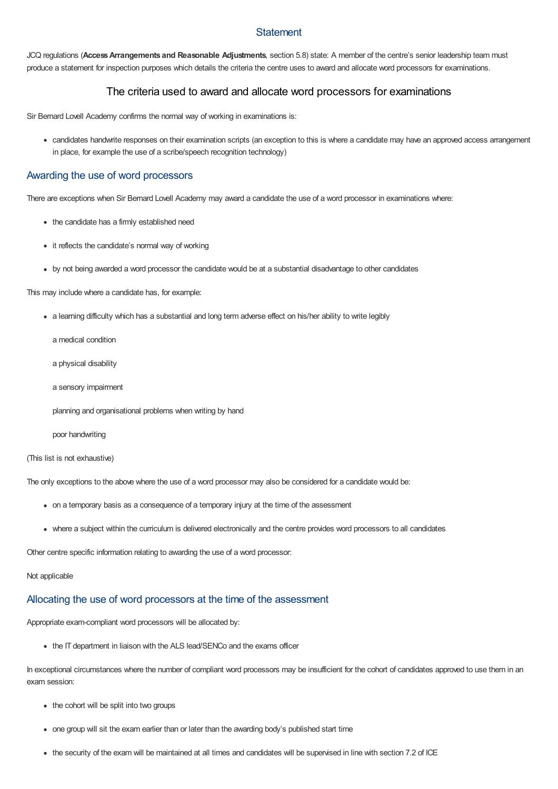## **Statement**

JCQ regulations (**AccessArrangements and Reasonable Adjustments**, section 5.8) state: A member of the centre's senior leadership team must produce a statement for inspection purposes which details the criteria the centre uses to award and allocate word processors for examinations.

## The criteria used to award and allocate word processors for examinations

Sir Bernard Lovell Academy confirms the normal way of working in examinations is:

candidates handwrite responses on their examination scripts (an exception to this is where a candidate may have an approved access arrangement in place, for example the use of a scribe/speech recognition technology)

#### Awarding the use of word processors

There are exceptions when Sir Bernard Lovell Academy may award a candidate the use of a word processor in examinations where:

- the candidate has a firmly established need
- it reflects the candidate's normal way of working
- by not being awarded a word processor the candidate would be at a substantial disadvantage to other candidates

This may include where a candidate has, for example:

- a learning difficulty which has a substantial and long term adverse effect on his/her ability to write legibly
	- a medical condition
	- a physical disability
	- a sensory impairment
	- planning and organisational problems when writing by hand
	- poor handwriting

#### (This list is not exhaustive)

The only exceptions to the above where the use of a word processor may also be considered for a candidate would be:

- on a temporary basis as a consequence of a temporary injury at the time of the assessment
- where a subject within the curriculum is delivered electronically and the centre provides word processors to all candidates

Other centre specific information relating to awarding the use of a word processor:

#### Not applicable

# Allocating the use of word processors at the time of the assessment

Appropriate exam-compliant word processors will be allocated by:

• the IT department in liaison with the ALS lead/SENCo and the exams officer

In exceptional circumstances where the number of compliant word processors may be insufficient for the cohort of candidates approved to use them in an exam session:

- the cohort will be split into two groups
- one group will sit the exam earlier than or later than the awarding body's published start time
- the security of the exam will be maintained at all times and candidates will be supervised in line with section 7.2 of ICE